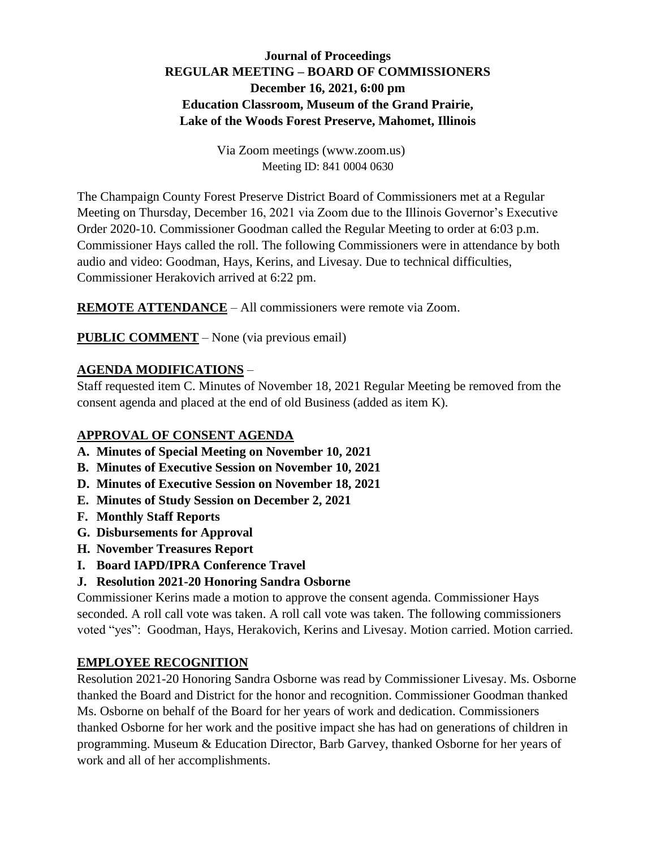# **Journal of Proceedings REGULAR MEETING – BOARD OF COMMISSIONERS December 16, 2021, 6:00 pm Education Classroom, Museum of the Grand Prairie, Lake of the Woods Forest Preserve, Mahomet, Illinois**

Via Zoom meetings (www.zoom.us) Meeting ID: 841 0004 0630

The Champaign County Forest Preserve District Board of Commissioners met at a Regular Meeting on Thursday, December 16, 2021 via Zoom due to the Illinois Governor's Executive Order 2020-10. Commissioner Goodman called the Regular Meeting to order at 6:03 p.m. Commissioner Hays called the roll. The following Commissioners were in attendance by both audio and video: Goodman, Hays, Kerins, and Livesay. Due to technical difficulties, Commissioner Herakovich arrived at 6:22 pm.

**REMOTE ATTENDANCE** – All commissioners were remote via Zoom.

**PUBLIC COMMENT** – None (via previous email)

### **AGENDA MODIFICATIONS** –

Staff requested item C. Minutes of November 18, 2021 Regular Meeting be removed from the consent agenda and placed at the end of old Business (added as item K).

#### **APPROVAL OF CONSENT AGENDA**

- **A. Minutes of Special Meeting on November 10, 2021**
- **B. Minutes of Executive Session on November 10, 2021**
- **D. Minutes of Executive Session on November 18, 2021**
- **E. Minutes of Study Session on December 2, 2021**
- **F. Monthly Staff Reports**
- **G. Disbursements for Approval**
- **H. November Treasures Report**
- **I. Board IAPD/IPRA Conference Travel**

# **J. Resolution 2021-20 Honoring Sandra Osborne**

Commissioner Kerins made a motion to approve the consent agenda. Commissioner Hays seconded. A roll call vote was taken. A roll call vote was taken. The following commissioners voted "yes": Goodman, Hays, Herakovich, Kerins and Livesay. Motion carried. Motion carried.

# **EMPLOYEE RECOGNITION**

Resolution 2021-20 Honoring Sandra Osborne was read by Commissioner Livesay. Ms. Osborne thanked the Board and District for the honor and recognition. Commissioner Goodman thanked Ms. Osborne on behalf of the Board for her years of work and dedication. Commissioners thanked Osborne for her work and the positive impact she has had on generations of children in programming. Museum & Education Director, Barb Garvey, thanked Osborne for her years of work and all of her accomplishments.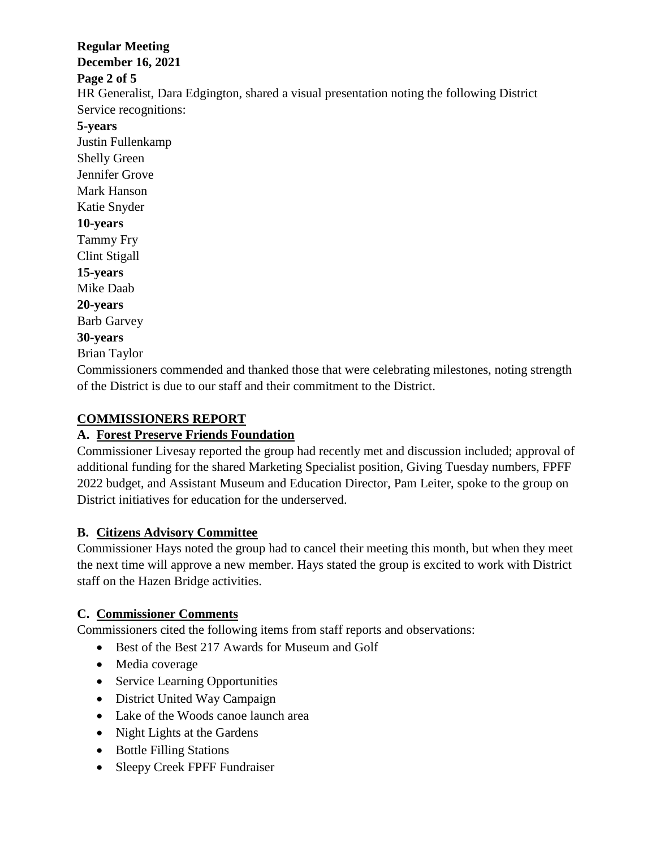### **Regular Meeting**

**December 16, 2021**

#### **Page 2 of 5**

HR Generalist, Dara Edgington, shared a visual presentation noting the following District Service recognitions:

**5-years**

Justin Fullenkamp Shelly Green Jennifer Grove Mark Hanson Katie Snyder **10-years** Tammy Fry Clint Stigall **15-years** Mike Daab **20-years** Barb Garvey **30-years**

Brian Taylor

Commissioners commended and thanked those that were celebrating milestones, noting strength of the District is due to our staff and their commitment to the District.

### **COMMISSIONERS REPORT**

#### **A. Forest Preserve Friends Foundation**

Commissioner Livesay reported the group had recently met and discussion included; approval of additional funding for the shared Marketing Specialist position, Giving Tuesday numbers, FPFF 2022 budget, and Assistant Museum and Education Director, Pam Leiter, spoke to the group on District initiatives for education for the underserved.

# **B. Citizens Advisory Committee**

Commissioner Hays noted the group had to cancel their meeting this month, but when they meet the next time will approve a new member. Hays stated the group is excited to work with District staff on the Hazen Bridge activities.

# **C. Commissioner Comments**

Commissioners cited the following items from staff reports and observations:

- Best of the Best 217 Awards for Museum and Golf
- Media coverage
- Service Learning Opportunities
- District United Way Campaign
- Lake of the Woods canoe launch area
- Night Lights at the Gardens
- Bottle Filling Stations
- Sleepy Creek FPFF Fundraiser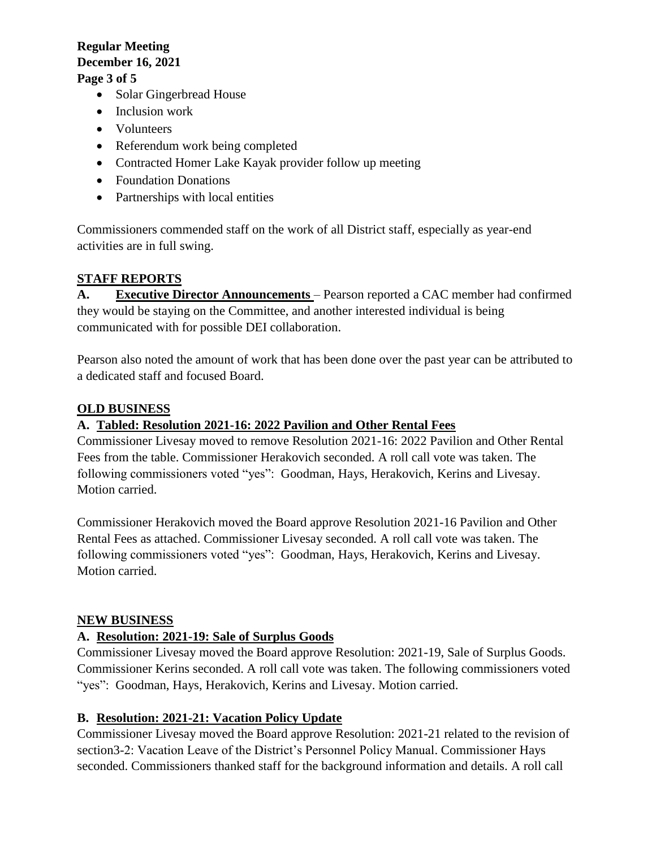#### **Regular Meeting December 16, 2021 Page 3 of 5**

# • Solar Gingerbread House

- Inclusion work
- Volunteers
- Referendum work being completed
- Contracted Homer Lake Kayak provider follow up meeting
- Foundation Donations
- Partnerships with local entities

Commissioners commended staff on the work of all District staff, especially as year-end activities are in full swing.

### **STAFF REPORTS**

**A. Executive Director Announcements** – Pearson reported a CAC member had confirmed they would be staying on the Committee, and another interested individual is being communicated with for possible DEI collaboration.

Pearson also noted the amount of work that has been done over the past year can be attributed to a dedicated staff and focused Board.

#### **OLD BUSINESS**

#### **A. Tabled: Resolution 2021-16: 2022 Pavilion and Other Rental Fees**

Commissioner Livesay moved to remove Resolution 2021-16: 2022 Pavilion and Other Rental Fees from the table. Commissioner Herakovich seconded. A roll call vote was taken. The following commissioners voted "yes": Goodman, Hays, Herakovich, Kerins and Livesay. Motion carried.

Commissioner Herakovich moved the Board approve Resolution 2021-16 Pavilion and Other Rental Fees as attached. Commissioner Livesay seconded. A roll call vote was taken. The following commissioners voted "yes": Goodman, Hays, Herakovich, Kerins and Livesay. Motion carried.

#### **NEW BUSINESS**

#### **A. Resolution: 2021-19: Sale of Surplus Goods**

Commissioner Livesay moved the Board approve Resolution: 2021-19, Sale of Surplus Goods. Commissioner Kerins seconded. A roll call vote was taken. The following commissioners voted "yes": Goodman, Hays, Herakovich, Kerins and Livesay. Motion carried.

#### **B. Resolution: 2021-21: Vacation Policy Update**

Commissioner Livesay moved the Board approve Resolution: 2021-21 related to the revision of section3-2: Vacation Leave of the District's Personnel Policy Manual. Commissioner Hays seconded. Commissioners thanked staff for the background information and details. A roll call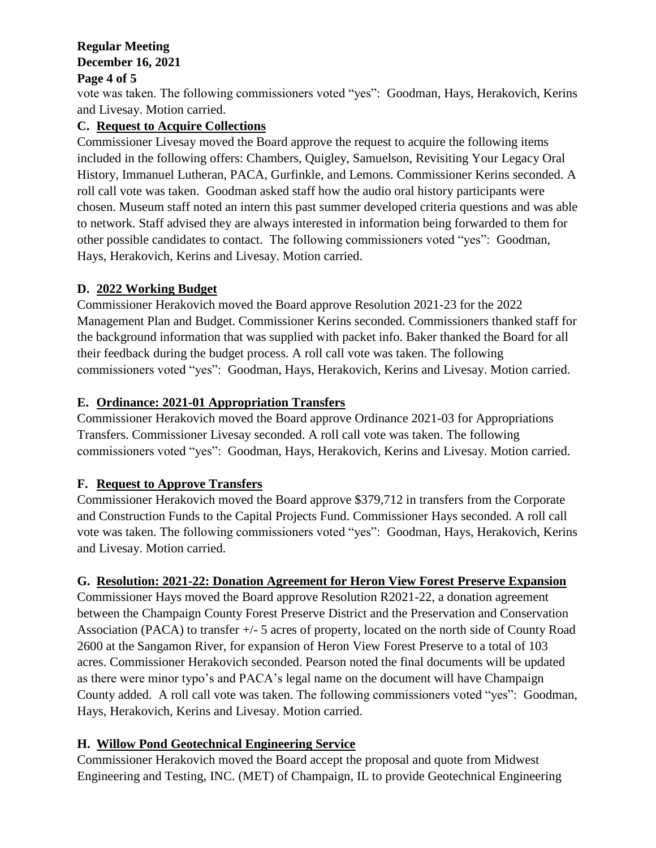# **Regular Meeting December 16, 2021**

#### **Page 4 of 5**

vote was taken. The following commissioners voted "yes": Goodman, Hays, Herakovich, Kerins and Livesay. Motion carried.

# **C. Request to Acquire Collections**

Commissioner Livesay moved the Board approve the request to acquire the following items included in the following offers: Chambers, Quigley, Samuelson, Revisiting Your Legacy Oral History, Immanuel Lutheran, PACA, Gurfinkle, and Lemons. Commissioner Kerins seconded. A roll call vote was taken. Goodman asked staff how the audio oral history participants were chosen. Museum staff noted an intern this past summer developed criteria questions and was able to network. Staff advised they are always interested in information being forwarded to them for other possible candidates to contact. The following commissioners voted "yes": Goodman, Hays, Herakovich, Kerins and Livesay. Motion carried.

# **D. 2022 Working Budget**

Commissioner Herakovich moved the Board approve Resolution 2021-23 for the 2022 Management Plan and Budget. Commissioner Kerins seconded. Commissioners thanked staff for the background information that was supplied with packet info. Baker thanked the Board for all their feedback during the budget process. A roll call vote was taken. The following commissioners voted "yes": Goodman, Hays, Herakovich, Kerins and Livesay. Motion carried.

# **E. Ordinance: 2021-01 Appropriation Transfers**

Commissioner Herakovich moved the Board approve Ordinance 2021-03 for Appropriations Transfers. Commissioner Livesay seconded. A roll call vote was taken. The following commissioners voted "yes": Goodman, Hays, Herakovich, Kerins and Livesay. Motion carried.

# **F. Request to Approve Transfers**

Commissioner Herakovich moved the Board approve \$379,712 in transfers from the Corporate and Construction Funds to the Capital Projects Fund. Commissioner Hays seconded. A roll call vote was taken. The following commissioners voted "yes": Goodman, Hays, Herakovich, Kerins and Livesay. Motion carried.

# **G. Resolution: 2021-22: Donation Agreement for Heron View Forest Preserve Expansion**

Commissioner Hays moved the Board approve Resolution R2021-22, a donation agreement between the Champaign County Forest Preserve District and the Preservation and Conservation Association (PACA) to transfer +/- 5 acres of property, located on the north side of County Road 2600 at the Sangamon River, for expansion of Heron View Forest Preserve to a total of 103 acres. Commissioner Herakovich seconded. Pearson noted the final documents will be updated as there were minor typo's and PACA's legal name on the document will have Champaign County added. A roll call vote was taken. The following commissioners voted "yes": Goodman, Hays, Herakovich, Kerins and Livesay. Motion carried.

# **H. Willow Pond Geotechnical Engineering Service**

Commissioner Herakovich moved the Board accept the proposal and quote from Midwest Engineering and Testing, INC. (MET) of Champaign, IL to provide Geotechnical Engineering